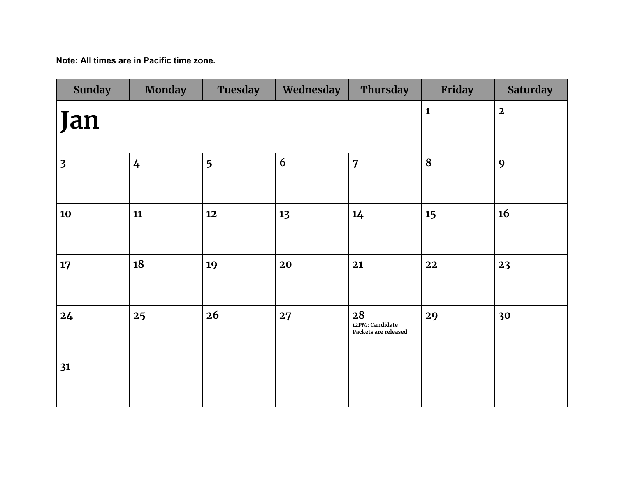**Note: All times are in Pacific time zone.**

| <b>Sunday</b>           | <b>Monday</b>  | <b>Tuesday</b> | Wednesday      | Thursday                                      | Friday | <b>Saturday</b> |
|-------------------------|----------------|----------------|----------------|-----------------------------------------------|--------|-----------------|
| Jan                     |                | $\mathbf{1}$   | $\overline{2}$ |                                               |        |                 |
| $\overline{\mathbf{3}}$ | $\overline{4}$ | 5              | 6              | $\overline{7}$                                | 8      | 9               |
| 10                      | 11             | 12             | 13             | 14                                            | 15     | 16              |
| 17                      | 18             | 19             | 20             | 21                                            | 22     | 23              |
| 24                      | 25             | 26             | 27             | 28<br>12PM: Candidate<br>Packets are released | 29     | 30              |
| 31                      |                |                |                |                                               |        |                 |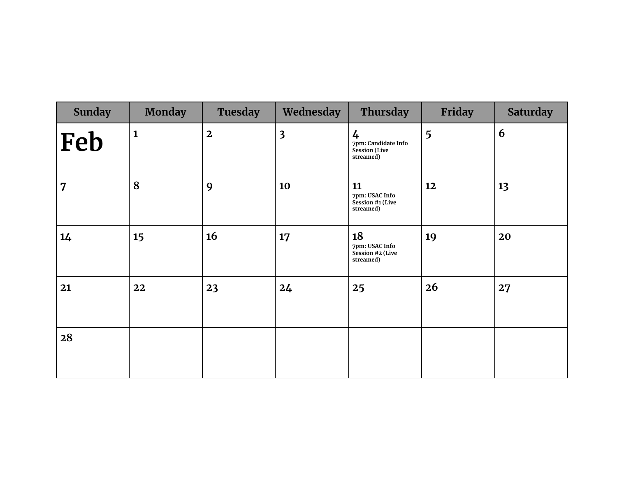| <b>Sunday</b>  | <b>Monday</b> | Tuesday      | Wednesday               | Thursday                                                                  | Friday | <b>Saturday</b> |
|----------------|---------------|--------------|-------------------------|---------------------------------------------------------------------------|--------|-----------------|
| Feb            | $\mathbf{1}$  | $\mathbf{2}$ | $\overline{\mathbf{3}}$ | $\frac{1}{4}$<br>7pm: Candidate Info<br><b>Session</b> (Live<br>streamed) | 5      | 6               |
| $\overline{7}$ | 8             | 9            | 10                      | 11<br>7pm: USAC Info<br>Session #1 (Live<br>streamed)                     | 12     | 13              |
| 14             | 15            | 16           | 17                      | 18<br>7pm: USAC Info<br>Session #2 (Live<br>streamed)                     | 19     | 20              |
| 21             | 22            | 23           | 24                      | 25                                                                        | 26     | 27              |
| 28             |               |              |                         |                                                                           |        |                 |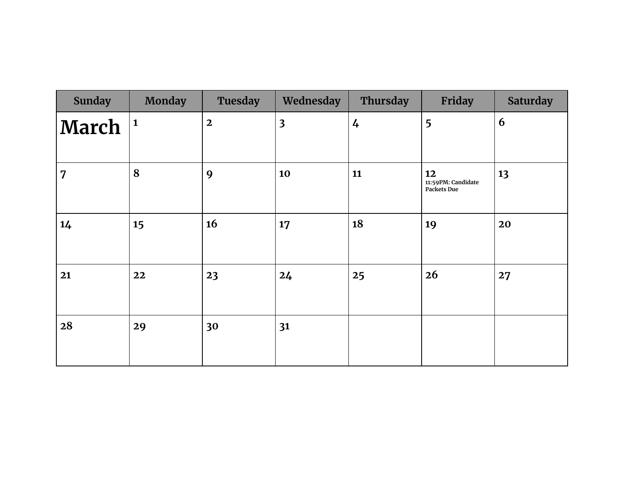| <b>Sunday</b>  | <b>Monday</b> | <b>Tuesday</b>          | Wednesday               | Thursday      | Friday                                         | <b>Saturday</b> |
|----------------|---------------|-------------------------|-------------------------|---------------|------------------------------------------------|-----------------|
| March          | $\mathbf{1}$  | $\overline{\mathbf{2}}$ | $\overline{\mathbf{3}}$ | $\frac{1}{4}$ | 5                                              | 6               |
| $\overline{7}$ | 8             | 9                       | 10                      | 11            | 12<br>11:59PM: Candidate<br><b>Packets Due</b> | 13              |
| 14             | 15            | 16                      | 17                      | 18            | 19                                             | 20              |
| 21             | 22            | 23                      | 24                      | 25            | 26                                             | 27              |
| 28             | 29            | 30                      | 31                      |               |                                                |                 |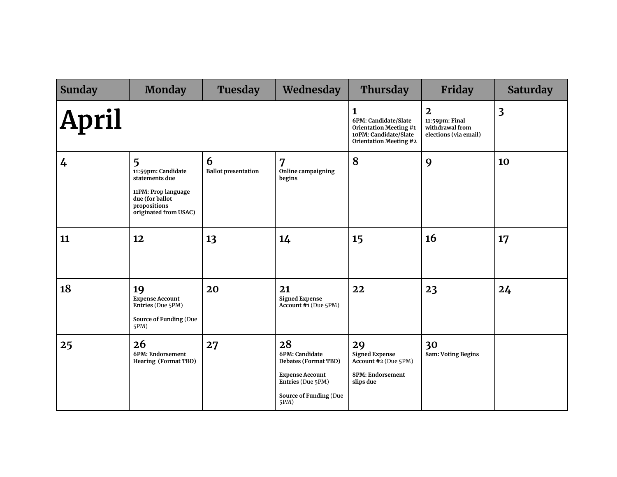| <b>Sunday</b> | <b>Monday</b>                                                                                                                | Tuesday                         | Wednesday                                                                                                                            | Thursday                                                                                                             | <b>Friday</b>                                                                         | <b>Saturday</b>         |
|---------------|------------------------------------------------------------------------------------------------------------------------------|---------------------------------|--------------------------------------------------------------------------------------------------------------------------------------|----------------------------------------------------------------------------------------------------------------------|---------------------------------------------------------------------------------------|-------------------------|
| <b>April</b>  |                                                                                                                              |                                 |                                                                                                                                      | 1<br>6PM: Candidate/Slate<br><b>Orientation Meeting #1</b><br>10PM: Candidate/Slate<br><b>Orientation Meeting #2</b> | $\overline{\mathbf{2}}$<br>11:59pm: Final<br>withdrawal from<br>elections (via email) | $\overline{\mathbf{3}}$ |
| 4             | 5<br>11:59pm: Candidate<br>statements due<br>11PM: Prop language<br>due (for ballot<br>propositions<br>originated from USAC) | 6<br><b>Ballot presentation</b> | $\overline{7}$<br>Online campaigning<br>begins                                                                                       | 8                                                                                                                    | 9                                                                                     | 10                      |
| 11            | 12                                                                                                                           | 13                              | 14                                                                                                                                   | 15                                                                                                                   | <b>16</b>                                                                             | 17                      |
| 18            | 19<br><b>Expense Account</b><br>Entries (Due 5PM)<br><b>Source of Funding (Due</b><br>5PM)                                   | 20                              | 21<br><b>Signed Expense</b><br>Account #1 (Due 5PM)                                                                                  | 22                                                                                                                   | 23                                                                                    | 24                      |
| 25            | 26<br>6PM: Endorsement<br><b>Hearing (Format TBD)</b>                                                                        | 27                              | 28<br>6PM: Candidate<br>Debates (Format TBD)<br><b>Expense Account</b><br>Entries (Due 5PM)<br><b>Source of Funding (Due</b><br>5PM) | 29<br><b>Signed Expense</b><br>Account #2 (Due 5PM)<br>8PM: Endorsement<br>slips due                                 | 30<br><b>8am: Voting Begins</b>                                                       |                         |